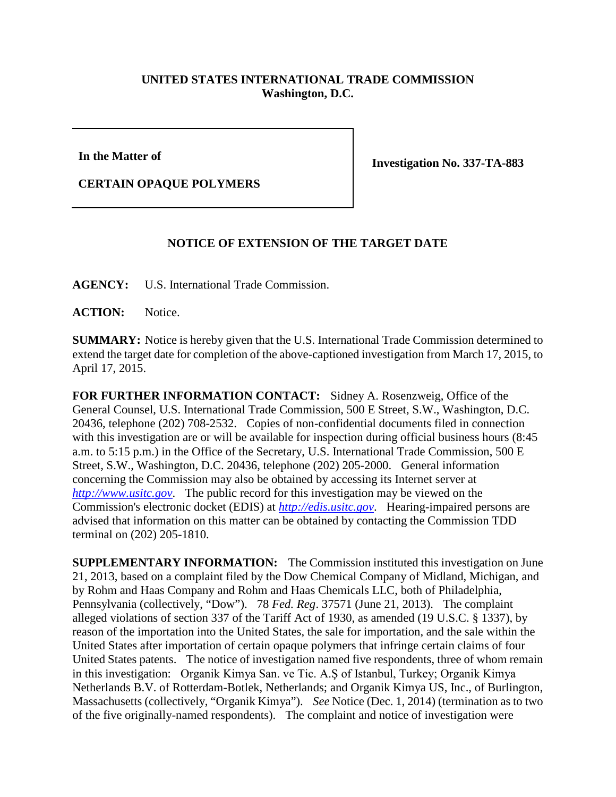## **UNITED STATES INTERNATIONAL TRADE COMMISSION Washington, D.C.**

**In the Matter of**

**Investigation No. 337-TA-883**

**CERTAIN OPAQUE POLYMERS**

## **NOTICE OF EXTENSION OF THE TARGET DATE**

**AGENCY:** U.S. International Trade Commission.

**ACTION:** Notice.

**SUMMARY:** Notice is hereby given that the U.S. International Trade Commission determined to extend the target date for completion of the above-captioned investigation from March 17, 2015, to April 17, 2015.

**FOR FURTHER INFORMATION CONTACT:** Sidney A. Rosenzweig, Office of the General Counsel, U.S. International Trade Commission, 500 E Street, S.W., Washington, D.C. 20436, telephone (202) 708-2532. Copies of non-confidential documents filed in connection with this investigation are or will be available for inspection during official business hours (8:45) a.m. to 5:15 p.m.) in the Office of the Secretary, U.S. International Trade Commission, 500 E Street, S.W., Washington, D.C. 20436, telephone (202) 205-2000. General information concerning the Commission may also be obtained by accessing its Internet server at *[http://www.usitc.gov](http://www.usitc.gov/)*. The public record for this investigation may be viewed on the Commission's electronic docket (EDIS) at *[http://edis.usitc.gov](http://edis.usitc.gov/)*. Hearing-impaired persons are advised that information on this matter can be obtained by contacting the Commission TDD terminal on (202) 205-1810.

**SUPPLEMENTARY INFORMATION:** The Commission instituted this investigation on June 21, 2013, based on a complaint filed by the Dow Chemical Company of Midland, Michigan, and by Rohm and Haas Company and Rohm and Haas Chemicals LLC, both of Philadelphia, Pennsylvania (collectively, "Dow"). 78 *Fed. Reg*. 37571 (June 21, 2013). The complaint alleged violations of section 337 of the Tariff Act of 1930, as amended (19 U.S.C. § 1337), by reason of the importation into the United States, the sale for importation, and the sale within the United States after importation of certain opaque polymers that infringe certain claims of four United States patents. The notice of investigation named five respondents, three of whom remain in this investigation: Organik Kimya San. ve Tic. A.Ş of Istanbul, Turkey; Organik Kimya Netherlands B.V. of Rotterdam-Botlek, Netherlands; and Organik Kimya US, Inc., of Burlington, Massachusetts (collectively, "Organik Kimya"). *See* Notice (Dec. 1, 2014) (termination as to two of the five originally-named respondents). The complaint and notice of investigation were